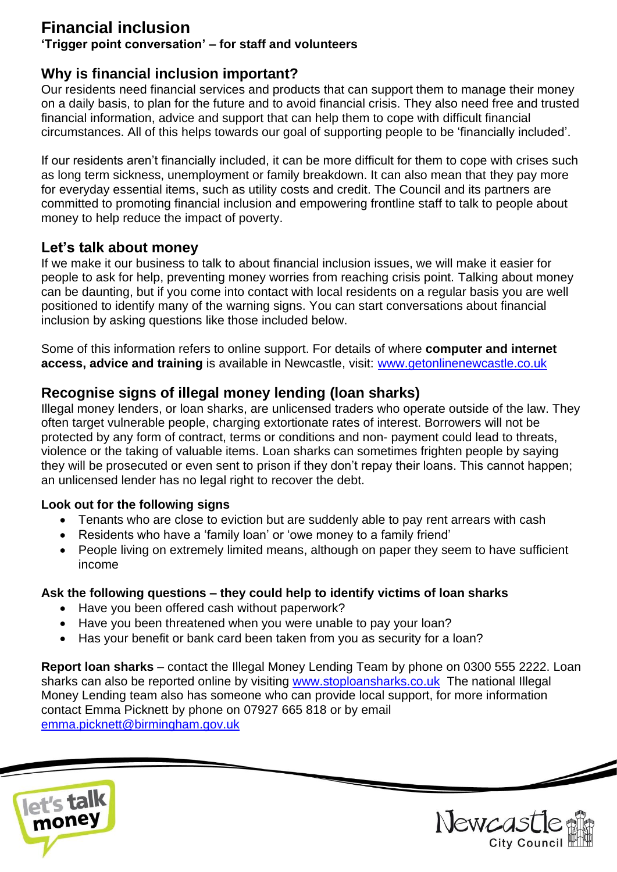# **Financial inclusion**

## **'Trigger point conversation' – for staff and volunteers**

## **Why is financial inclusion important?**

Our residents need financial services and products that can support them to manage their money on a daily basis, to plan for the future and to avoid financial crisis. They also need free and trusted financial information, advice and support that can help them to cope with difficult financial circumstances. All of this helps towards our goal of supporting people to be 'financially included'.

If our residents aren't financially included, it can be more difficult for them to cope with crises such as long term sickness, unemployment or family breakdown. It can also mean that they pay more for everyday essential items, such as utility costs and credit. The Council and its partners are committed to promoting financial inclusion and empowering frontline staff to talk to people about money to help reduce the impact of poverty.

## **Let's talk about money**

If we make it our business to talk to about financial inclusion issues, we will make it easier for people to ask for help, preventing money worries from reaching crisis point. Talking about money can be daunting, but if you come into contact with local residents on a regular basis you are well positioned to identify many of the warning signs. You can start conversations about financial inclusion by asking questions like those included below.

Some of this information refers to online support. For details of where **computer and internet access, advice and training** is available in Newcastle, visit: [www.getonlinenewcastle.co.uk](http://www.getonlinenewcastle.co.uk/)

## **Recognise signs of illegal money lending (loan sharks)**

Illegal money lenders, or loan sharks, are unlicensed traders who operate outside of the law. They often target vulnerable people, charging extortionate rates of interest. Borrowers will not be protected by any form of contract, terms or conditions and non- payment could lead to threats, violence or the taking of valuable items. Loan sharks can sometimes frighten people by saying they will be prosecuted or even sent to prison if they don't repay their loans. This cannot happen; an unlicensed lender has no legal right to recover the debt.

## **Look out for the following signs**

- Tenants who are close to eviction but are suddenly able to pay rent arrears with cash
- Residents who have a 'family loan' or 'owe money to a family friend'
- People living on extremely limited means, although on paper they seem to have sufficient income

## **Ask the following questions – they could help to identify victims of loan sharks**

- Have you been offered cash without paperwork?
- Have you been threatened when you were unable to pay your loan?
- Has your benefit or bank card been taken from you as security for a loan?

**Report loan sharks** – contact the Illegal Money Lending Team by phone on 0300 555 2222. Loan sharks can also be reported online by visiting [www.stoploansharks.co.uk](http://www.stoploansharks.co.uk/) The national Illegal Money Lending team also has someone who can provide local support, for more information contact Emma Picknett by phone on 07927 665 818 or by email [emma.picknett@birmingham.gov.uk](mailto:emma.picknett@birmingham.gov.uk)